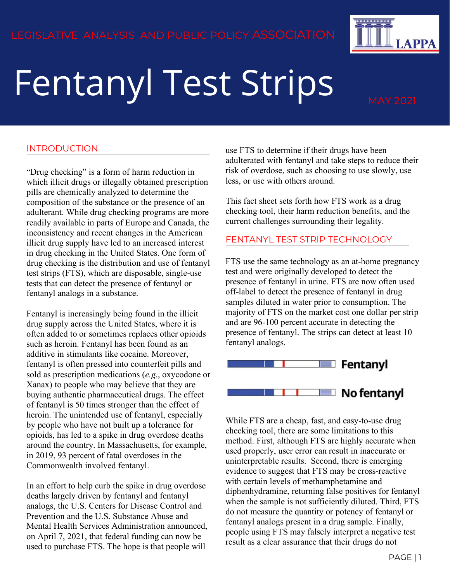# Fentanyl Test Strips

**APPA** 

# INTRODUCTION

"Drug checking" is a form of harm reduction in which illicit drugs or illegally obtained prescription pills are chemically analyzed to determine the composition of the substance or the presence of an adulterant. While drug checking programs are more readily available in parts of Europe and Canada, the inconsistency and recent changes in the American illicit drug supply have led to an increased interest in drug checking in the United States. One form of drug checking is the distribution and use of fentanyl test strips (FTS), which are disposable, single-use tests that can detect the presence of fentanyl or fentanyl analogs in a substance.

Fentanyl is increasingly being found in the illicit drug supply across the United States, where it is often added to or sometimes replaces other opioids such as heroin. Fentanyl has been found as an additive in stimulants like cocaine. Moreover, fentanyl is often pressed into counterfeit pills and sold as prescription medications (*e.g*., oxycodone or Xanax) to people who may believe that they are buying authentic pharmaceutical drugs. The effect of fentanyl is 50 times stronger than the effect of heroin. The unintended use of fentanyl, especially by people who have not built up a tolerance for opioids, has led to a spike in drug overdose deaths around the country. In Massachusetts, for example, in 2019, 93 percent of fatal overdoses in the Commonwealth involved fentanyl.

In an effort to help curb the spike in drug overdose deaths largely driven by fentanyl and fentanyl analogs, the U.S. Centers for Disease Control and Prevention and the U.S. Substance Abuse and Mental Health Services Administration announced, on April 7, 2021, that federal funding can now be used to purchase FTS. The hope is that people will

use FTS to determine if their drugs have been adulterated with fentanyl and take steps to reduce their risk of overdose, such as choosing to use slowly, use less, or use with others around.

This fact sheet sets forth how FTS work as a drug checking tool, their harm reduction benefits, and the current challenges surrounding their legality.

### FENTANYL TEST STRIP TECHNOLOGY

FTS use the same technology as an at-home pregnancy test and were originally developed to detect the presence of fentanyl in urine. FTS are now often used off-label to detect the presence of fentanyl in drug samples diluted in water prior to consumption. The majority of FTS on the market cost one dollar per strip and are 96-100 percent accurate in detecting the presence of fentanyl. The strips can detect at least 10 fentanyl analogs.



While FTS are a cheap, fast, and easy-to-use drug checking tool, there are some limitations to this method. First, although FTS are highly accurate when used properly, user error can result in inaccurate or uninterpretable results. Second, there is emerging evidence to suggest that FTS may be cross-reactive with certain levels of methamphetamine and diphenhydramine, returning false positives for fentanyl when the sample is not sufficiently diluted. Third, FTS do not measure the quantity or potency of fentanyl or fentanyl analogs present in a drug sample. Finally, people using FTS may falsely interpret a negative test result as a clear assurance that their drugs do not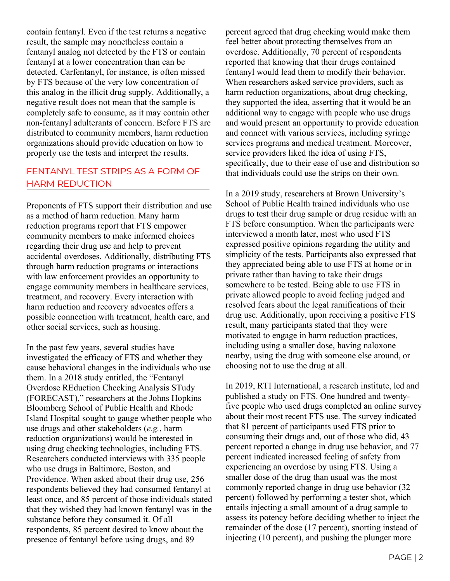contain fentanyl. Even if the test returns a negative result, the sample may nonetheless contain a fentanyl analog not detected by the FTS or contain fentanyl at a lower concentration than can be detected. Carfentanyl, for instance, is often missed by FTS because of the very low concentration of this analog in the illicit drug supply. Additionally, a negative result does not mean that the sample is completely safe to consume, as it may contain other non-fentanyl adulterants of concern. Before FTS are distributed to community members, harm reduction organizations should provide education on how to properly use the tests and interpret the results.

# FENTANYL TEST STRIPS AS A FORM OF HARM REDUCTION

Proponents of FTS support their distribution and use as a method of harm reduction. Many harm reduction programs report that FTS empower community members to make informed choices regarding their drug use and help to prevent accidental overdoses. Additionally, distributing FTS through harm reduction programs or interactions with law enforcement provides an opportunity to engage community members in healthcare services, treatment, and recovery. Every interaction with harm reduction and recovery advocates offers a possible connection with treatment, health care, and other social services, such as housing.

In the past few years, several studies have investigated the efficacy of FTS and whether they cause behavioral changes in the individuals who use them. In a 2018 study entitled, the "Fentanyl Overdose REduction Checking Analysis STudy (FORECAST)," researchers at the Johns Hopkins Bloomberg School of Public Health and Rhode Island Hospital sought to gauge whether people who use drugs and other stakeholders (*e.g.*, harm reduction organizations) would be interested in using drug checking technologies, including FTS. Researchers conducted interviews with 335 people who use drugs in Baltimore, Boston, and Providence. When asked about their drug use, 256 respondents believed they had consumed fentanyl at least once, and 85 percent of those individuals stated that they wished they had known fentanyl was in the substance before they consumed it. Of all respondents, 85 percent desired to know about the presence of fentanyl before using drugs, and 89

percent agreed that drug checking would make them feel better about protecting themselves from an overdose. Additionally, 70 percent of respondents reported that knowing that their drugs contained fentanyl would lead them to modify their behavior. When researchers asked service providers, such as harm reduction organizations, about drug checking, they supported the idea, asserting that it would be an additional way to engage with people who use drugs and would present an opportunity to provide education and connect with various services, including syringe services programs and medical treatment. Moreover, service providers liked the idea of using FTS, specifically, due to their ease of use and distribution so that individuals could use the strips on their own.

In a 2019 study, researchers at Brown University's School of Public Health trained individuals who use drugs to test their drug sample or drug residue with an FTS before consumption. When the participants were interviewed a month later, most who used FTS expressed positive opinions regarding the utility and simplicity of the tests. Participants also expressed that they appreciated being able to use FTS at home or in private rather than having to take their drugs somewhere to be tested. Being able to use FTS in private allowed people to avoid feeling judged and resolved fears about the legal ramifications of their drug use. Additionally, upon receiving a positive FTS result, many participants stated that they were motivated to engage in harm reduction practices, including using a smaller dose, having naloxone nearby, using the drug with someone else around, or choosing not to use the drug at all.

In 2019, RTI International, a research institute, led and published a study on FTS. One hundred and twentyfive people who used drugs completed an online survey about their most recent FTS use. The survey indicated that 81 percent of participants used FTS prior to consuming their drugs and, out of those who did, 43 percent reported a change in drug use behavior, and 77 percent indicated increased feeling of safety from experiencing an overdose by using FTS. Using a smaller dose of the drug than usual was the most commonly reported change in drug use behavior (32 percent) followed by performing a tester shot, which entails injecting a small amount of a drug sample to assess its potency before deciding whether to inject the remainder of the dose (17 percent), snorting instead of injecting (10 percent), and pushing the plunger more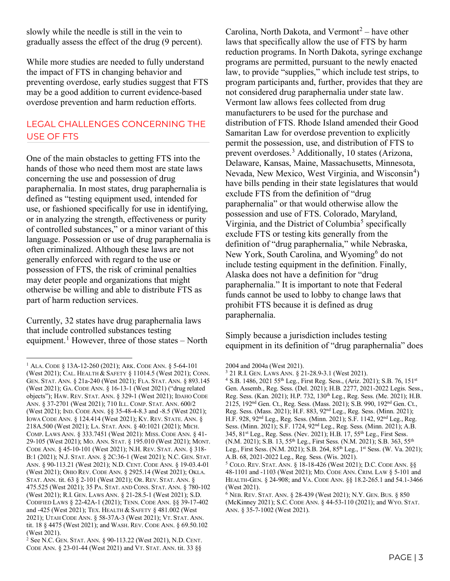slowly while the needle is still in the vein to gradually assess the effect of the drug (9 percent).

While more studies are needed to fully understand the impact of FTS in changing behavior and preventing overdose, early studies suggest that FTS may be a good addition to current evidence-based overdose prevention and harm reduction efforts.

# LEGAL CHALLENGES CONCERNING THE USE OF FTS

One of the main obstacles to getting FTS into the hands of those who need them most are state laws concerning the use and possession of drug paraphernalia. In most states, drug paraphernalia is defined as "testing equipment used, intended for use, or fashioned specifically for use in identifying, or in analyzing the strength, effectiveness or purity of controlled substances," or a minor variant of this language. Possession or use of drug paraphernalia is often criminalized. Although these laws are not generally enforced with regard to the use or possession of FTS, the risk of criminal penalties may deter people and organizations that might otherwise be willing and able to distribute FTS as part of harm reduction services.

Currently, 32 states have drug paraphernalia laws that include controlled substances testing equipment.<sup>[1](#page-2-0)</sup> However, three of those states – North Carolina, North Dakota, and Vermont<sup>[2](#page-2-1)</sup> – have other laws that specifically allow the use of FTS by harm reduction programs. In North Dakota, syringe exchange programs are permitted, pursuant to the newly enacted law, to provide "supplies," which include test strips, to program participants and, further, provides that they are not considered drug paraphernalia under state law. Vermont law allows fees collected from drug manufacturers to be used for the purchase and distribution of FTS. Rhode Island amended their Good Samaritan Law for overdose prevention to explicitly permit the possession, use, and distribution of FTS to prevent overdoses.[3](#page-2-2) Additionally, 10 states (Arizona, Delaware, Kansas, Maine, Massachusetts, Minnesota, Nevada, New Mexico, West Virginia, and Wisconsin<sup>[4](#page-2-3)</sup>) have bills pending in their state legislatures that would exclude FTS from the definition of "drug paraphernalia" or that would otherwise allow the possession and use of FTS. Colorado, Maryland, Virginia, and the District of Columbia<sup>[5](#page-2-4)</sup> specifically exclude FTS or testing kits generally from the definition of "drug paraphernalia," while Nebraska, New York, South Carolina, and Wyoming<sup>[6](#page-2-5)</sup> do not include testing equipment in the definition. Finally, Alaska does not have a definition for "drug paraphernalia." It is important to note that Federal funds cannot be used to lobby to change laws that prohibit FTS because it is defined as drug paraphernalia.

Simply because a jurisdiction includes testing equipment in its definition of "drug paraphernalia" does

<span id="page-2-3"></span><span id="page-2-2"></span><span id="page-2-0"></span><sup>1</sup> ALA. CODE § 13A-12-260 (2021); ARK. CODE ANN. § 5-64-101 (West 2021); CAL. HEALTH & SAFETY § 11014.5 (West 2021); CONN. GEN. STAT. ANN. § 21a-240 (West 2021); FLA. STAT. ANN. § 893.145 (West 2021); GA. CODE ANN. § 16-13-1 (West 2021) ("drug related objects"); HAW. REV. STAT. ANN. § 329-1 (West 2021); IDAHO CODE ANN. § 37-2701 (West 2021); 710 ILL. COMP. STAT. ANN. 600/2 (West 2021); IND. CODE ANN. §§ 35-48-4-8.3 and -8.5 (West 2021); IOWA CODE ANN. § 124.414 (West 2021); KY. REV. STATE. ANN. § 218A.500 (West 2021); LA. STAT. ANN. § 40:1021 (2021); MICH. COMP. LAWS ANN. § 333.7451 (West 2021): MISS. CODE ANN. § 41- 29-105 (West 2021); MO. ANN. STAT. § 195.010 (West 2021); MONT. CODE ANN. § 45-10-101 (West 2021); N.H. REV. STAT. ANN. § 318- B:1 (2021); N.J. STAT. ANN. § 2C:36-1 (West 2021); N.C. GEN. STAT. ANN. § 90-113.21 (West 2021); N.D. CENT. CODE ANN. § 19-03.4-01 (West 2021); OHIO REV. CODE ANN. § 2925.14 (West 2021); OKLA. STAT. ANN. tit. 63 § 2-101 (West 2021); OR. REV. STAT. ANN. § 475.525 (West 2021); 35 PA. STAT. AND CONS. STAT. ANN. § 780-102 (West 2021); R.I. GEN. LAWS ANN. § 21-28.5-1 (West 2021); S.D. CODIFIED LAWS § 22-42A-1 (2021); TENN. CODE ANN. §§ 39-17-402 and -425 (West 2021); TEX. HEALTH & SAFETY § 481.002 (West 2021); UTAH CODE ANN. § 58-37A-3 (West 2021); VT. STAT. ANN. tit. 18 § 4475 (West 2021); and WASH. REV. CODE ANN. § 69.50.102 (West 2021).

<span id="page-2-5"></span><span id="page-2-4"></span><span id="page-2-1"></span><sup>&</sup>lt;sup>2</sup> See N.C. GEN. STAT. ANN.  $\S$  90-113.22 (West 2021), N.D. CENT. CODE ANN. § 23-01-44 (West 2021) and VT. STAT. ANN. tit. 33 §§

<sup>2004</sup> and 2004a (West 2021).<br><sup>3</sup> 21 R.I. GEN. LAWS ANN. § 21-28.9-3.1 (West 2021).

<sup>&</sup>lt;sup>4</sup> S.B. 1486, 2021 55<sup>th</sup> Leg., First Reg. Sess., (Ariz. 2021); S.B. 76, 151<sup>st</sup> Gen. Assemb., Reg. Sess. (Del. 2021); H.B. 2277, 2021-2022 Legis. Sess., Reg. Sess. (Kan. 2021); H.P. 732, 130th Leg., Reg. Sess. (Me. 2021); H.B. 2125, 192nd Gen. Ct., Reg. Sess. (Mass. 2021); S.B. 990, 192nd Gen. Ct., Reg. Sess. (Mass. 2021); H.F. 883, 92nd Leg., Reg. Sess. (Minn. 2021); H.F. 928, 92nd Leg., Reg. Sess. (Minn. 2021); S.F. 1142, 92nd Leg., Reg. Sess. (Minn. 2021); S.F. 1724, 92nd Leg., Reg. Sess. (Minn. 2021); A.B. 345, 81st Leg., Reg. Sess. (Nev. 2021); H.B. 17, 55th Leg., First Sess. (N.M. 2021); S.B. 13, 55<sup>th</sup> Leg., First Sess. (N.M. 2021); S.B. 363, 55<sup>th</sup> Leg., First Sess. (N.M. 2021); S.B. 264, 85th Leg., 1st Sess. (W. Va. 2021); A.B. 68, 2021-2022 Leg., Reg. Sess. (Wis. 2021).

<sup>5</sup> COLO. REV. STAT. ANN. § 18-18-426 (West 2021); D.C. CODE ANN. §§ 48-1101 and -1103 (West 2021); MD. CODE ANN. CRIM. LAW § 5-101 and HEALTH-GEN. § 24-908; and VA. CODE ANN. §§ 18.2-265.1 and 54.1-3466 (West 2021).

 $6$  NEB. REV. STAT. ANN. § 28-439 (West 2021); N.Y. GEN. BUS. § 850 (McKinney 2021); S.C. CODE ANN. § 44-53-110 (2021); and WYO. STAT. ANN. § 35-7-1002 (West 2021).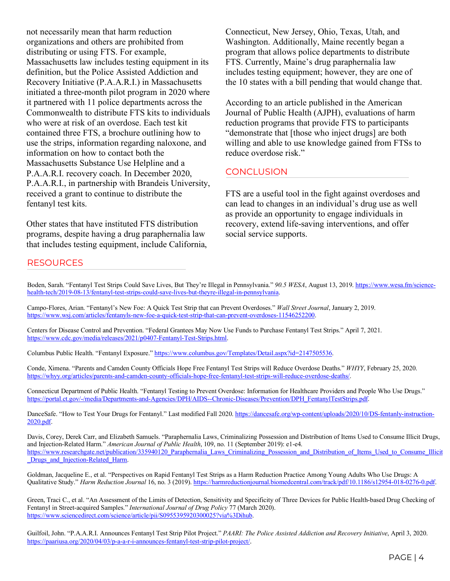not necessarily mean that harm reduction organizations and others are prohibited from distributing or using FTS. For example, Massachusetts law includes testing equipment in its definition, but the Police Assisted Addiction and Recovery Initiative (P.A.A.R.I.) in Massachusetts initiated a three-month pilot program in 2020 where it partnered with 11 police departments across the Commonwealth to distribute FTS kits to individuals who were at risk of an overdose. Each test kit contained three FTS, a brochure outlining how to use the strips, information regarding naloxone, and information on how to contact both the Massachusetts Substance Use Helpline and a P.A.A.R.I. recovery coach. In December 2020, P.A.A.R.I., in partnership with Brandeis University, received a grant to continue to distribute the fentanyl test kits.

Other states that have instituted FTS distribution programs, despite having a drug paraphernalia law that includes testing equipment, include California, Connecticut, New Jersey, Ohio, Texas, Utah, and Washington. Additionally, Maine recently began a program that allows police departments to distribute FTS. Currently, Maine's drug paraphernalia law includes testing equipment; however, they are one of the 10 states with a bill pending that would change that.

According to an article published in the American Journal of Public Health (AJPH), evaluations of harm reduction programs that provide FTS to participants "demonstrate that [those who inject drugs] are both willing and able to use knowledge gained from FTSs to reduce overdose risk."

### **CONCLUSION**

FTS are a useful tool in the fight against overdoses and can lead to changes in an individual's drug use as well as provide an opportunity to engage individuals in recovery, extend life-saving interventions, and offer social service supports.

#### **RESOURCES**

Boden, Sarah. "Fentanyl Test Strips Could Save Lives, But They're Illegal in Pennsylvania." *90.5 WESA*, August 13, 2019. [https://www.wesa.fm/science](https://www.wesa.fm/science-health-tech/2019-08-13/fentanyl-test-strips-could-save-lives-but-theyre-illegal-in-pennsylvania)[health-tech/2019-08-13/fentanyl-test-strips-could-save-lives-but-theyre-illegal-in-pennsylvania.](https://www.wesa.fm/science-health-tech/2019-08-13/fentanyl-test-strips-could-save-lives-but-theyre-illegal-in-pennsylvania) 

Campo-Flores, Arian. "Fentanyl's New Foe: A Quick Test Strip that can Prevent Overdoses." *Wall Street Journal*, January 2, 2019. [https://www.wsj.com/articles/fentanyls-new-foe-a-quick-test-strip-that-can-prevent-overdoses-11546252200.](https://www.wsj.com/articles/fentanyls-new-foe-a-quick-test-strip-that-can-prevent-overdoses-11546252200) 

Centers for Disease Control and Prevention. "Federal Grantees May Now Use Funds to Purchase Fentanyl Test Strips." April 7, 2021. [https://www.cdc.gov/media/releases/2021/p0407-Fentanyl-Test-Strips.html.](https://www.cdc.gov/media/releases/2021/p0407-Fentanyl-Test-Strips.html) 

Columbus Public Health. "Fentanyl Exposure.[" https://www.columbus.gov/Templates/Detail.aspx?id=2147505536.](https://www.columbus.gov/Templates/Detail.aspx?id=2147505536)

Conde, Ximena. "Parents and Camden County Officials Hope Free Fentanyl Test Strips will Reduce Overdose Deaths." *WHYY*, February 25, 2020. [https://whyy.org/articles/parents-and-camden-county-officials-hope-free-fentanyl-test-strips-will-reduce-overdose-deaths/.](https://whyy.org/articles/parents-and-camden-county-officials-hope-free-fentanyl-test-strips-will-reduce-overdose-deaths/)

Connecticut Department of Public Health. "Fentanyl Testing to Prevent Overdose: Information for Healthcare Providers and People Who Use Drugs." [https://portal.ct.gov/-/media/Departments-and-Agencies/DPH/AIDS--Chronic-Diseases/Prevention/DPH\\_FentanylTestStrips.pdf.](https://portal.ct.gov/-/media/Departments-and-Agencies/DPH/AIDS--Chronic-Diseases/Prevention/DPH_FentanylTestStrips.pdf)

DanceSafe. "How to Test Your Drugs for Fentanyl." Last modified Fall 2020. [https://dancesafe.org/wp-content/uploads/2020/10/DS-fentanly-instruction-](https://dancesafe.org/wp-content/uploads/2020/10/DS-fentanly-instruction-2020.pdf)[2020.pdf.](https://dancesafe.org/wp-content/uploads/2020/10/DS-fentanly-instruction-2020.pdf)

Davis, Corey, Derek Carr, and Elizabeth Samuels. "Paraphernalia Laws, Criminalizing Possession and Distribution of Items Used to Consume Illicit Drugs, and Injection-Related Harm." *American Journal of Public Health*, 109, no. 11 (September 2019): e1-e4. https://www.researchgate.net/publication/335940120 Paraphernalia Laws Criminalizing Possession and Distribution of Items Used to Consume Illicit Drugs and Injection-Related Harm.

Goldman, Jacqueline E., et al. "Perspectives on Rapid Fentanyl Test Strips as a Harm Reduction Practice Among Young Adults Who Use Drugs: A Qualitative Study." *Harm Reduction Journal* 16, no. 3 (2019)[. https://harmreductionjournal.biomedcentral.com/track/pdf/10.1186/s12954-018-0276-0.pdf.](https://harmreductionjournal.biomedcentral.com/track/pdf/10.1186/s12954-018-0276-0.pdf)

Green, Traci C., et al. "An Assessment of the Limits of Detection, Sensitivity and Specificity of Three Devices for Public Health-based Drug Checking of Fentanyl in Street-acquired Samples." *International Journal of Drug Policy* 77 (March 2020). [https://www.sciencedirect.com/science/article/pii/S0955395920300025?via%3Dihub.](https://www.sciencedirect.com/science/article/pii/S0955395920300025?via%3Dihub) 

Guilfoil, John. "P.A.A.R.I. Announces Fentanyl Test Strip Pilot Project." *PAARI: The Police Assisted Addiction and Recovery Initiative*, April 3, 2020. [https://paariusa.org/2020/04/03/p-a-a-r-i-announces-fentanyl-test-strip-pilot-project/.](https://paariusa.org/2020/04/03/p-a-a-r-i-announces-fentanyl-test-strip-pilot-project/)